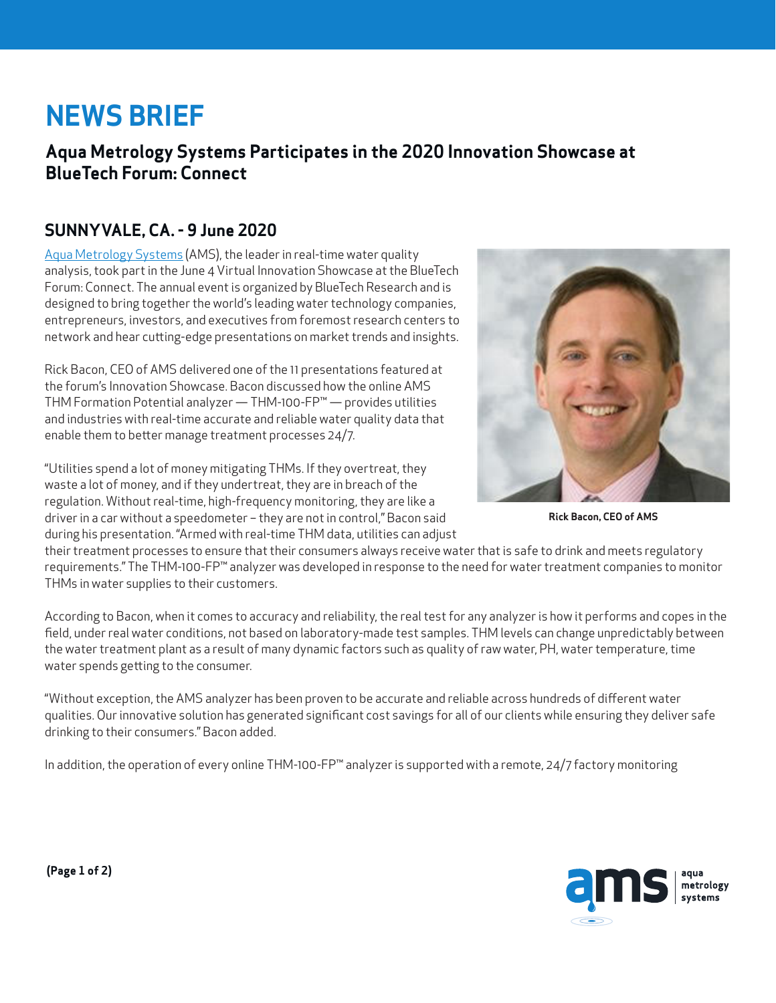# **NEWS BRIEF**

## **Aqua Metrology Systems Participates in the 2020 Innovation Showcase at BlueTech Forum: Connect**

## **SUNNYVALE, CA. - 9 June 2020**

[Aqua Metrology Systems](http://www.aquametrologysystems.com/) (AMS), the leader in real-time water quality analysis, took part in the June 4 Virtual Innovation Showcase at the BlueTech Forum: Connect. The annual event is organized by BlueTech Research and is designed to bring together the world's leading water technology companies, entrepreneurs, investors, and executives from foremost research centers to network and hear cutting-edge presentations on market trends and insights.

Rick Bacon, CEO of AMS delivered one of the 11 presentations featured at the forum's Innovation Showcase. Bacon discussed how the online AMS THM Formation Potential analyzer — THM-100-FP™ — provides utilities and industries with real-time accurate and reliable water quality data that enable them to better manage treatment processes 24/7.

"Utilities spend a lot of money mitigating THMs. If they overtreat, they waste a lot of money, and if they undertreat, they are in breach of the regulation. Without real-time, high-frequency monitoring, they are like a driver in a car without a speedometer – they are not in control," Bacon said during his presentation. "Armed with real-time THM data, utilities can adjust



**Rick Bacon, CEO of AMS**

their treatment processes to ensure that their consumers always receive water that is safe to drink and meets regulatory requirements." The THM-100-FP™ analyzer was developed in response to the need for water treatment companies to monitor THMs in water supplies to their customers.

According to Bacon, when it comes to accuracy and reliability, the real test for any analyzer is how it performs and copes in the field, under real water conditions, not based on laboratory-made test samples. THM levels can change unpredictably between the water treatment plant as a result of many dynamic factors such as quality of raw water, PH, water temperature, time water spends getting to the consumer.

"Without exception, the AMS analyzer has been proven to be accurate and reliable across hundreds of different water qualities. Our innovative solution has generated significant cost savings for all of our clients while ensuring they deliver safe drinking to their consumers." Bacon added.

In addition, the operation of every online THM-100-FP™ analyzer is supported with a remote, 24/7 factory monitoring